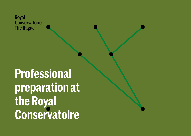

# **Professional preparation at the Royal Conservatoire**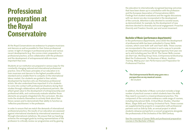# **Professional preparation at the Royal Conservatoire**

At the Royal Conservatoire we endeavour to prepare musicians and dancers as well as possible for their future professional career. In light of changes in professional practice and various recent developments (e.g. the corona crisis), preparation for professional practice, active collaboration with the profession and the development of entrepreneurial skills are more important than ever.

Students at our institution are prepared in various ways for the constantly changing national and international professional practice. One of the basic principles of our education is to train musicians and dancers to the highest possible artistic standard and so enable them to compete on the international labour market. Our students are guided in their artistic development by teachers who are themselves professional artists. We also understand how important it is for students to come into contact with professional situations during their studies through collaborations with professional partners. We attach great value to the development of entrepreneurship and professional skills, and continuously evaluate whether those elements are properly integrated into the curriculum. We also invite the students themselves to actively think about their future careers and to demonstrate their ability to function as 'reflective practitioners' in the profession.

In order to ensure that we match the demands of international professional practice, the results of our education are assessed against international standards by international examiners and through international visitations. We ensure that our teaching achieves the envisaged goals by inviting representatives of the profession to critically review our programmes and by gearing

the education to internationally recognised learning outcomes that have been drawn up in consultation with the profession and the European Association of Conservatoires (AEC). Findings from student evaluations and the regular discussions with our alumni are also incorporated in the development of the curricula. Attention is also devoted to societal issues, as demonstrated, for example, by the development of new electives devoted to diversity and social engagement: *Proactive Diversity* and *Freedom Sounds: jazz and social movement* .

#### **Bachelor of Music (performance departments)**

In the performance departments, since 2020 the development of professional skills has been embodied in Career Skills courses, which cover both 'soft' and 'hard' skills. These courses are incorporated in the curriculum in such a way as to provide an integrated and continuous learning trajectory from year one up to and including year four (B1-4). The Career Skills courses are *Start-Up!, Working Group Voice, Entrepreneurial Bootcamp, Meet the Professionals, The Business of Music, Audition Training, Making your own Performance* and *Preparation for Professional Practice*.



In addition, the Bachelor of Music curriculum includes a large number of practical courses in which students learn the skills they need to succeed in a mixed professional practice. This component of the curriculum embraces a wide range of courses, including *Educational Skills, Critical Music Studies, Chamber Music, Stage Skills* and *Training Orchestral Parts*. These courses are supplemented by projects in cooperation with professional partners such as *Side by Side*, an annual project in which students rehearse and perform a concert programme alongside the professionals of the Orchestra of the 18th Century.

[See the overview of Career Skills and professional preparation](#page-5-0) [courses in the Bachelor of Music](#page-5-0)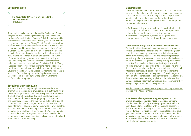#### **Bachelor of Dance**

 $\overline{\phantom{0}}$ 

◢

**The Young Talent Project is an entrée to the real dance world.** – B4 student

 $\overline{\mathscr{S}}$ 

╲

There is close collaboration between the Bachelor of Dance programme and the leading Dutch companies such as the Nationale Ballet, Introdans, Scapino Ballet Rotterdam, and in particular the Nederlands Dans Theater (NDT). Every year, the programme organises the Young Talent Project in association with the NDT. The Bachelor of Dance curriculum also includes courses devoted to professional preparation, including *Study & Career Planning* (a course in which students develop their capacity for self-study and self-reflection, learn how to write a CV, make a video for an audition and learn the intricacies of contracts), *Creating a Solo* (to enhance their ability to use and develop their artistic and creative competencies, reflective powers and research skills) and *Health & Well-being*  (a course which covers various elements intended to prepare the student physically and mentally for a professional career). Students in the final year do a practical internship, for example with a professional company or the Royal Conservatoire Dance Ensemble or through participation in an external professional dance project.

#### **Bachelor of Music in Education**

The clear thread running through the Music in Education programme is the intensive practical internship, through which the students gain realistic and hands-on practical experience. Through orientation visits and internships, students come into contact with the various target groups, from primary and secondary schools to the work terrain outside the field of education. In the fourth year, students choose a domain for their internship. They are strongly encouraged to work together and to show initiative. For example, the students organise the annual cultural trip themselves. Through the *Entrepreneurship* course and the various projects, they are introduced to the commercial, creative and organisational aspects of cultural and independent entrepreneurship.

#### **Master of Music**

Our Master curriculum builds on the Bachelor curriculum: while we *prepare* Bachelor students for professional practice, our aim is to enable Master students to *integrate into* the professional practice. In this way, the Master students already gain a foothold in the profession during their studies. This integration is achieved in two ways:

- 1. Professional integration in the form of a Master Project, which is designed to promote self-reflection and entrepreneurship in relation to the students' artistic development.
- 2. Professional integration by means of integrated Master programmes in association with professional partners.

#### **1. Professional integration in the form of a Master Project**

The Master of Music curriculum encompasses three domains: Artistic Development, Research and Professional Integration. In addition to advancing their personal artistic development (in the instrumental/vocal lessons) and conducting research under the guidance of a research supervisor, students also work with a professional integration coach in pursuing professional activities. The vehicle for this is a Master Project, in which students are given the opportunity to create their own project that combines artistic development, research and professional integration activities. This is our way of giving students the opportunity to experiment in the process of developing of a personal professional practice during their studies. Accordingly, the students can immediately apply the skills and ideas they have acquired, and carry out any projects or collaborations they have put together as soon as they graduate.

[See the overview of the courses on preparation for professional](#page-7-0)  [practice in the Master of Music](#page-7-0)

#### **2. Professional integration through integrated Master programmes in association with professional partners**

We offer a number of unique Master programmes that have been designed in consultation with professional partners. In these programmes, teaching and practice are intertwined to give students a realistic impression of the profession and thus give them the best possible preparation for the reality of the professional practice. This process usually leads to the creation of new ensembles and enables our students to provide an impulse for professional partners.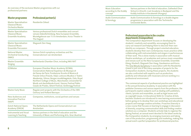An overview of the exclusive Master programmes with our professional partners:

| <b>Master programme</b>                                                               | <b>Professional partner(s)</b>                                                                                                                                                                                                                                                                                                                                                                                                                  |  |  |
|---------------------------------------------------------------------------------------|-------------------------------------------------------------------------------------------------------------------------------------------------------------------------------------------------------------------------------------------------------------------------------------------------------------------------------------------------------------------------------------------------------------------------------------------------|--|--|
| <b>Master Specialisation</b><br><b>Classical Music:</b><br>Orchestra Master           | <b>Residentie Orkest</b>                                                                                                                                                                                                                                                                                                                                                                                                                        |  |  |
| <b>Master Specialisation</b><br><b>Classical Music:</b><br>Ensemble Academy           | Various professional Dutch ensembles and concert<br>venues (Asko Schönberg, New European Ensemble,<br>Muziekgebouw aan 't IJ in Amsterdam, Korzo Theater in<br>The Hague)                                                                                                                                                                                                                                                                       |  |  |
| <b>Master Specialisation</b><br><b>Classical Music:</b><br><b>Ensemble Percussion</b> | Slagwerk Den Haag                                                                                                                                                                                                                                                                                                                                                                                                                               |  |  |
| <b>National Master</b><br><b>Orchestral Conducting</b><br>(NMO)                       | Various Dutch symphony orchestras and the<br>Conservatorium van Amsterdam                                                                                                                                                                                                                                                                                                                                                                       |  |  |
| <b>Master Ensemble</b><br>Singing                                                     | Netherlands Chamber Choir, including NKK NXT                                                                                                                                                                                                                                                                                                                                                                                                    |  |  |
| <b>ECMAster</b>                                                                       | European Chamber Music Academy (ECMA),<br>Conservatoire National Supérieur de Musique et<br>de Danse de Paris; Fondazione Scuola di Musica di<br>Fiesole Onlus (Fiesole, Italy); Lietuvos Muzikos ir Teatro<br>Akademija, Vilnius; Norges musikkhøgskole, Oslo; Royal<br>Northern College of Music, Manchester; Universität für<br>Musik und darstellende Kunst, Vienna; Festival Pablo<br>Casals de Prades, Ghent Festival, Grafenegg Festival |  |  |
| <b>Master Early Music</b>                                                             | Regular joint projects with the Orchestra of the 18th<br>Century and Holland Baroque                                                                                                                                                                                                                                                                                                                                                            |  |  |
| New Audiences and<br><b>Innovative Practice</b><br>(NAIP)                             | Companies, institutions, social partners and venues                                                                                                                                                                                                                                                                                                                                                                                             |  |  |
| <b>Dutch National Opera</b><br>Academy (DNOA)                                         | The Netherlands Opera and Conservatorium van<br>Amsterdam                                                                                                                                                                                                                                                                                                                                                                                       |  |  |
| <b>Instrumental and Vocal</b><br>Learning & Teaching                                  | Various partners in the field of education and the<br>University of Music and Performing Arts, Graz (Austria)                                                                                                                                                                                                                                                                                                                                   |  |  |

| <b>Music Education</b>                   | Various partners in the field of education, Cathedral Choir                                                              |
|------------------------------------------|--------------------------------------------------------------------------------------------------------------------------|
| according to the Kodály                  | School in Utrecht, Liszt Academy in Budapest and the                                                                     |
| concept                                  | Kodály Institute in Kecskemét (Hungary)                                                                                  |
| <b>Audio Communication</b><br>& Sonology | Audio Communication & Sonology is a double degree<br>programme in association with the Technische<br>Universität Berlin. |

#### **Professional preparation in the creative departments (Composition)**

The Composition department focuses on developing the students' creativity and versatility, encouraging them to carry out research and helping them to discover their own identity as composers. Through project-oriented education, students develop their own contemporary music practice while collaborating with instrumentalists and singers in performances of their work. This is done mainly in association with musical theatre workshops, art academies and various music ensembles and venues such as the New European Ensemble, Ensemble Klang, Kluster5, Slagwerk Den Haag, Gaudeamus and Korzo. The [One Minute Symphony](https://residentieorkest.nl/talentontwikkeling) in association with the Residentie Orkest is just one of the many examples of projects for the Composition students. During these projects, the students are also confronted with aspects such as production, publicity and rehearsals with musicians and are working in a professional environment.

The commercial aspects of professional practice are highlighted in the annual Donemus Academy. In association with the publisher Donemus and various experts from the profession, the participants explore subjects such as dealing with publishers, clients, lyricists and ensembles, as well as legal issues such as copyright issues. In *Educational Skills for Creative Artists*, bachelor students are introduced to new learning environments before going on to develop their own workshops and educational projects and manage creative activities. *Proactive Diversity* is a new course that focuses on learning to engage in discussion of diversity, acquiring communication skills and finding creative solutions as a composer. Students actively help to organise the Spring Festival, an annual event devoted to the latest works by the Composition students, by arranging musicians and taking care of the production, programming and marketing, making this annual event a perfect preparation for professional practice.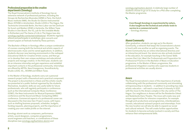#### **Professional preparation in the creative departments (Sonology)**

The Royal Conservatoire's Institute of Sonology has an extensive network of professional partners, including the Groupe de Recherches Musicales (GRM) in Paris, the Dutch Music Institute (NMI), the Studio for Electro-Instrumental Music (STEIM) in Amsterdam, Studio LOOS in The Hague, the Technische Universität Berlin, the Herz-Labor van het Zentrum für Kunst und Medien (ZKM) in Karlsruhe, the Willem Twee Studios in Den Bosch, the V2\_Lab for the Unstable Media in Rotterdam and The Game of Life in The Hague (see also [sonology.org/links-connected-institutions](http://www.sonology.org/links-connected-institutions)). Students regularly attend and participate in workshops, give concerts and present papers at festivals hosted by these partners.

The Bachelor of Music in Sonology offers a unique combination of courses covering both the technical and artistic aspects of electroacoustic music and its varied applications. In addition, students discover new learning environments in the reshaped *Educational Skills for Creative Artists* course, and then go on to develop their own unique workshops and educational projects and manage creative. In the third year, students can do an intensive internship and gain experience and establish important contacts in the professional community. Internships are offered by ARTEk, New Emergences, Soundtrackcity, Studio LOOS, V2, WORM and Willem Twee.

In the Master of Sonology, students carry out a personal research project with a theoretical and a practical component. The project is documented in a thesis and the artistic results are presented at a public festival organised by the students themselves. Academic skills are very useful skills for future professionals, who will regularly participate in conferences such as the International Computer Music Conference (ICMC), the New Instruments for Musical Expression (NIME) conference and the Sound and Music Computing (SMC) conference. Commercial aspects of a professional career are discussed in the *Overview Own Project* course, with topics such as drafting business proposals, schedules, budgets, funding requests, planning projects, and the importance of creating your own visible profile on the internet.

Sonology alumni work as composers, performance artists, sound designers, computer programmers, sound engineers and teachers, or combinations of these disciplines (see [sonology.org/bachelors-alumni](http://www.sonology.org/bachelors-alumni) and

[sonology.org/masters-alumni\)](http://www.sonology.org/masters-alumni). A relatively large number of students choose to go on to study for a PhD after completing the Master programme.

**Even though Sonology is experimental by nature, it also taught me the technical and artistic tools to survive in a commercial world.** – Sonology Alumnus

**Alumni Community**

 $\overline{\phantom{0}}$ 

 $\overline{\mathscr{S}}$ 

After graduation, students can sign up to the Alumni Community, a network that keeps the Conservatoire's alumni in touch with one another as well as organising events. The Alumni Community has an online international directory and an interactive job board. Our alumni are also actively involved in the education, for example teaching in the Career Skills courses *Start-Up!*, *Meet the Professionals* and *Preparation for Professional Practice* in the Bachelor of Music in Education programme. In the Master of Music programme, the professional integration coaches who supervise students in professional activities are usually alumni.

#### **Amare**

The Royal Conservatoire's vision of the importance of actively collaborating with the professional community and stimulating entrepreneurship in students – in addition to providing top-class artistic education – will reach a new level of intensity in 2021 with the move to the Amare complex in the city centre of The Hague. Our neighbours in Amare will be the Residentie Orkest and Nederlands Dans Theater. The move will create new and unique opportunities for intensive cooperation, for example through joint productions and programmes, interdisciplinary courses, educational outreach projects and internships. From the new location we will also be able to expand our social and cultural network. This will create further opportunities for students to become actively involved in society and thus enhance their entrepreneurial skills.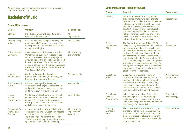An overview of courses relating to preparation for professional practice in the Bachelor of Music.

## <span id="page-5-0"></span>**Bachelor of Music**

#### **Career Skills courses:**

| <b>Course</b>                               | <b>Content</b>                                                                                                                                                                                                                                                                                                                                      | <b>Departments</b>                             |
|---------------------------------------------|-----------------------------------------------------------------------------------------------------------------------------------------------------------------------------------------------------------------------------------------------------------------------------------------------------------------------------------------------------|------------------------------------------------|
| Start-Up!                                   | Introduction week with opportunities to<br>network and meet alumni.                                                                                                                                                                                                                                                                                 | All<br>departments                             |
| <b>Working Group</b><br>Voice               | Lessons with a focus on peer learning and<br>peer feedback. The course also covers the<br>development of a professional attitude and<br>a range of strategies.                                                                                                                                                                                      | <b>Vocal Studies</b>                           |
| Entrepreneurial<br>Bootcamp                 | An intensive week of studies outside the<br>Conservatoire, during which second-year<br>students are asked to develop a project for<br>a new audience and often at an unexpected<br>location in the heart of the community. This<br>course is derived from the European project<br>Reflective Entrepreneurial Music Education<br>Worldclass (RENEW). | All performing<br>departments                  |
| Meet the<br>Professionals                   | Students discuss subjects such as<br>reputation management, networking and<br>business development with alumni.                                                                                                                                                                                                                                     | <b>Classical Music</b>                         |
| The Business of<br><b>Music</b>             | Lessons covering subjects such as<br>entrepreneurship, organisational matters<br>and practical issues such as contracts, tax<br>and how to start your own company.                                                                                                                                                                                  | <b>Vocal Studies</b>                           |
| Making<br>your own<br>Performance           | Students work together to create a small<br>staged performance, based on their own<br>concept. This includes writing a script,<br>developing ideas about set and costumes<br>and choosing their own repertoire.                                                                                                                                     | <b>Vocal Studies</b>                           |
| Preparation for<br>Professional<br>Practice | A course for fourth-year students in which<br>entrepreneurial and organisational aspects<br>of a musician's career are discussed and<br>explained by guests from the profession.<br>The Vocal Studies department also devotes<br>specific attention to Audition Training.                                                                           | All performing<br>departments,<br>Art of Sound |

#### **Other professional preparation courses:**

| <b>Course</b>                                        | <b>Content</b>                                                                                                                                                                                                                                                                                                                                                                                                                                                                                                                                         | <b>Departments</b>            |
|------------------------------------------------------|--------------------------------------------------------------------------------------------------------------------------------------------------------------------------------------------------------------------------------------------------------------------------------------------------------------------------------------------------------------------------------------------------------------------------------------------------------------------------------------------------------------------------------------------------------|-------------------------------|
| <b>Tutoring</b>                                      | Students in the Bachelor programme<br>are assigned a tutor who helps them to<br>reflect on their studies. In order to become<br>independent reflective practitioners, and<br>capable of operating independently in a<br>constantly changing professional practice,<br>students need self-regulation skills and<br>habits. The tutor can offer several tools to<br>develop these skills, based on students'<br>individual needs and preferences.                                                                                                        | All<br>departments            |
| Career<br>Development<br>Office                      | The Career Development Office (CDO)<br>occupies a key position in the Conservatoire<br>by assisting students to find possibilities<br>for concerts and other projects outside the<br>institute, Bachelor and Master students<br>can earn credits for professional activities<br>organised outside the Conservatoire via the<br>CDO. This unique approach encourages the<br>students to take personal responsibility for<br>finding and creating their own professional<br>opportunities. Students are also expected<br>to reflect on these activities. | All<br>departments            |
| Educational<br><b>Skills</b>                         | Every student who sings or plays an<br>instrument follows courses devoted to the<br>practice of teaching. In the third year, the<br>students do an internship in which they<br>teach an individual pupil. Students who<br>wish to further master the skills of a music<br>teacher can follow the Minor Education.                                                                                                                                                                                                                                      | All performing<br>departments |
| Educational<br>Skills for<br><b>Creative Artists</b> | In this course, students of Composition<br>and Sonology discover new learning<br>environments and then develop their own<br>unique workshops and educational projects<br>and manage creative activities.                                                                                                                                                                                                                                                                                                                                               | Composition<br>and Sonology   |
| <b>Training</b><br>Orchestral<br>Parts               | The course teaches students who play an<br>orchestral instrument all about playing in<br>an orchestra. Trial auditions, an important<br>element in preparing students for playing<br>in a professional orchestra or an ensemble,<br>are also organised.                                                                                                                                                                                                                                                                                                | <b>Classical Music</b>        |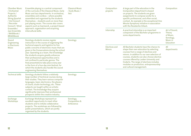| <b>Chamber Music</b><br>/ Orchestral<br>Projects /<br>Authentic<br><b>String Quartet</b><br>/ Viol Consort<br>/ Recorder<br>Consort / Wind | Ensemble playing is a central component<br>of the curricula of the Classical Music, Early<br>Music and Jazz departments. In orchestras,<br>ensembles and combos - where possible<br>assembled and organised by the students<br>themselves - students work on more than<br>just playing music. The course also covers<br>aspects such as teamwork, a project-based                                                                                                                      | <b>Classical Music</b><br>/ Early Music /<br>Jazz | Composition<br>projects               | A large part of the education in the<br>Composition department is based<br>on projects. The students are given<br>assignments to compose works for a<br>specific professional, and often social,<br>context. An example is the exceptional One<br>Minute Symphony initiative in association<br>with the Residentie Orkest.                                                              | Composition                                       |
|--------------------------------------------------------------------------------------------------------------------------------------------|----------------------------------------------------------------------------------------------------------------------------------------------------------------------------------------------------------------------------------------------------------------------------------------------------------------------------------------------------------------------------------------------------------------------------------------------------------------------------------------|---------------------------------------------------|---------------------------------------|-----------------------------------------------------------------------------------------------------------------------------------------------------------------------------------------------------------------------------------------------------------------------------------------------------------------------------------------------------------------------------------------|---------------------------------------------------|
| Ensemble /<br>approach, organisation and acquiring<br><b>Jazz Ensemble</b><br>intercultural skills.<br>/BASSbook/<br><b>BRASSbook</b>      |                                                                                                                                                                                                                                                                                                                                                                                                                                                                                        |                                                   | Internship                            | A practical internship is an important<br>component of the Bachelor programme in<br>some departments.                                                                                                                                                                                                                                                                                   | Art of Sound,<br>Theory<br>of Music,<br>Sonology, |
| Sound<br>Engineering                                                                                                                       | Sonology students receive regular<br>instruction in the course of organising the                                                                                                                                                                                                                                                                                                                                                                                                       | Sonology                                          |                                       |                                                                                                                                                                                                                                                                                                                                                                                         | Music in<br>Education                             |
| in Electronic<br>Music                                                                                                                     | technical aspects and logistics for five<br>public concerts of electronic music that are<br>given in the Conservatoire during the school<br>year. Operating as a team, the knowledge<br>the students acquire greatly enhances<br>their professional opportunities and is<br>not confined to particular genres. The<br>final presentations take place every year<br>in the form of a four-day mini-festival, for<br>which the students also handle the sound<br>engineering themselves. |                                                   | <b>Electives and</b><br><b>Minors</b> | All Bachelor students have the chance to<br>shape their own education by selecting<br>courses from a range of electives and<br>minors. In addition to our own selection of<br>courses, students can also choose elective<br>courses offered by Leiden University and<br>Codarts. The range of electives includes<br>modules on production, entrepreneurship<br>and cultural management. | All<br>departments                                |
| <b>Technical skills</b>                                                                                                                    | Sonology students follow a relatively<br>large number of technical courses during<br>their studies. They learn various computer<br>languages, basic electronics, the physics<br>of sound, studio technology, etc. These<br>subjects are taught within an artistic<br>context. The knowledge they acquire<br>significantly improves their professional<br>prospects within the creative industry.                                                                                       | Sonology                                          |                                       |                                                                                                                                                                                                                                                                                                                                                                                         |                                                   |
| Exchange<br>Workshops                                                                                                                      | Exchange Workshops represent an<br>excellent opportunity to meet other<br>students and to initiate collaborative<br>projects. The workshops are followed by<br>public presentations, which are jointly<br>organised by the students.                                                                                                                                                                                                                                                   | Sonology,<br>Composition &<br>ArtScience          |                                       |                                                                                                                                                                                                                                                                                                                                                                                         |                                                   |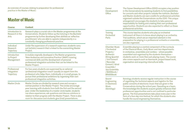An overview of courses relating to preparation for professional practice in the Master of Music:

### <span id="page-7-0"></span>**Master of Music**

| <b>Course</b>                              | <b>Content</b>                                                                                                                                                                                                                                                                                                                                                                                                                                                      |
|--------------------------------------------|---------------------------------------------------------------------------------------------------------------------------------------------------------------------------------------------------------------------------------------------------------------------------------------------------------------------------------------------------------------------------------------------------------------------------------------------------------------------|
| Introduction to<br>Research in the<br>Arts | Research plays a crucial role in the Master programmes at the<br>Conservatoire. Students follow up the tutoring in the Bachelor<br>programme by further developing their abilities as 'reflective<br>practitioners' who are able to operate independently in a<br>constantly changing professional practice.                                                                                                                                                        |
| Individual<br>Research<br>Trajectory       | Under the supervision of a research supervisor, students carry<br>out (artistic) research that is linked to the overarching Master<br>Project.                                                                                                                                                                                                                                                                                                                      |
| Introduction<br>to Project<br>Management   | A module originally developed in the Master programme<br>'New Audiences and Innovative Practice' (NAIP) covering<br>commercial skills and the development of personal<br>professional integration activities that can be linked to the<br>Master Project.                                                                                                                                                                                                           |
| Professional<br>Integration<br>Trajectory  | For two years students are supervised by an external<br>'professional integration coach' (usually an expert from the<br>profession) who helps them, individually or in small groups, to<br>pursue their professional ambitions by organising their own<br>professional integration activities.                                                                                                                                                                      |
| Master Circle                              | Master Circles are divided by research area and occupy a<br>central position in the Master Project. The circles encourage<br>peer learning with students from both the first and the second<br>year. Under the leadership of a master circle leader, students<br>can share experiences, ask questions and discuss solutions in<br>relation to their progress with the Master Project. There is also<br>room for discussion and students give (trial) presentations. |

| Career<br>Development<br>Office                                                                                                                                                                                    | The Career Development Office (CDO) occupies a key position<br>in the Conservatoire by assisting students to find possibilities<br>for concerts and other projects outside the institute. Bachelor<br>and Master students can earn credits for professional activities<br>organised outside the Conservatoire via the CDO. This unique<br>arrangement encourages the students to take personal<br>responsibility for finding and creating their own professional<br>opportunities. Students are also expected to reflect on these<br>professional activities.  |
|--------------------------------------------------------------------------------------------------------------------------------------------------------------------------------------------------------------------|----------------------------------------------------------------------------------------------------------------------------------------------------------------------------------------------------------------------------------------------------------------------------------------------------------------------------------------------------------------------------------------------------------------------------------------------------------------------------------------------------------------------------------------------------------------|
| <b>Training</b><br>Orchestral<br>Parts                                                                                                                                                                             | This course teaches students who play an orchestral<br>instrument all there is to know about playing in an orchestra.<br>Trial auditions, which are an important element in the<br>preparation for playing in a professional orchestra or ensemble,<br>are also organised.                                                                                                                                                                                                                                                                                     |
| <b>Chamber Music</b><br>/ Orchestral<br>Projects /<br>Authentic<br><b>String Quartet</b><br>/ Viol Consort<br>/ Recorder<br>Consort / Wind<br>Ensemble /<br><b>Jazz Ensemble</b><br>/BASSbook/<br><b>BRASSbook</b> | Ensemble playing is a central component of the curricula<br>of the Classical Music, Early Music and Jazz departments.<br>In orchestras, ensembles and combos - where possible<br>assembled and organised by the students themselves -<br>students work on more than just playing music. The course<br>also covers aspects such as teamwork, project-based work,<br>organisation and acquiring intercultural skills.                                                                                                                                            |
| Sound<br>Engineering<br>in Electronic<br><b>Music</b><br>(Sonology)                                                                                                                                                | Sonology students receive regular instruction in the course<br>of organising the technical aspects and logistics for five<br>public concerts of electronic music that are given in the<br>Conservatoire during the school year. Operating as a team,<br>the knowledge the students acquire greatly enhances their<br>professional opportunities and is not confined to particular<br>genres. The final presentations take place every year in the<br>form of a four-day mini-festival, for which the students also<br>handle the sound engineering themselves. |